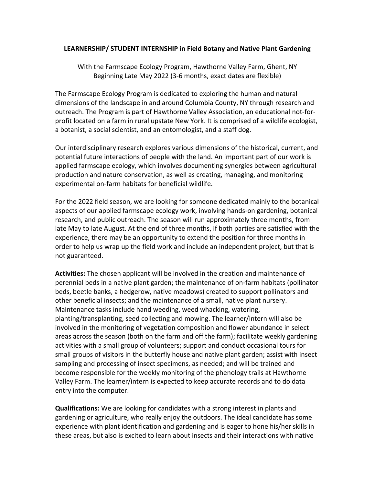## **LEARNERSHIP/ STUDENT INTERNSHIP in Field Botany and Native Plant Gardening**

With the Farmscape Ecology Program, Hawthorne Valley Farm, Ghent, NY Beginning Late May 2022 (3-6 months, exact dates are flexible)

The Farmscape Ecology Program is dedicated to exploring the human and natural dimensions of the landscape in and around Columbia County, NY through research and outreach. The Program is part of Hawthorne Valley Association, an educational not-forprofit located on a farm in rural upstate New York. It is comprised of a wildlife ecologist, a botanist, a social scientist, and an entomologist, and a staff dog.

Our interdisciplinary research explores various dimensions of the historical, current, and potential future interactions of people with the land. An important part of our work is applied farmscape ecology, which involves documenting synergies between agricultural production and nature conservation, as well as creating, managing, and monitoring experimental on-farm habitats for beneficial wildlife.

For the 2022 field season, we are looking for someone dedicated mainly to the botanical aspects of our applied farmscape ecology work, involving hands-on gardening, botanical research, and public outreach. The season will run approximately three months, from late May to late August. At the end of three months, if both parties are satisfied with the experience, there may be an opportunity to extend the position for three months in order to help us wrap up the field work and include an independent project, but that is not guaranteed.

**Activities:** The chosen applicant will be involved in the creation and maintenance of perennial beds in a native plant garden; the maintenance of on-farm habitats (pollinator beds, beetle banks, a hedgerow, native meadows) created to support pollinators and other beneficial insects; and the maintenance of a small, native plant nursery. Maintenance tasks include hand weeding, weed whacking, watering, planting/transplanting, seed collecting and mowing. The learner/intern will also be involved in the monitoring of vegetation composition and flower abundance in select areas across the season (both on the farm and off the farm); facilitate weekly gardening activities with a small group of volunteers; support and conduct occasional tours for small groups of visitors in the butterfly house and native plant garden; assist with insect sampling and processing of insect specimens, as needed; and will be trained and become responsible for the weekly monitoring of the phenology trails at Hawthorne Valley Farm. The learner/intern is expected to keep accurate records and to do data entry into the computer.

**Qualifications:** We are looking for candidates with a strong interest in plants and gardening or agriculture, who really enjoy the outdoors. The ideal candidate has some experience with plant identification and gardening and is eager to hone his/her skills in these areas, but also is excited to learn about insects and their interactions with native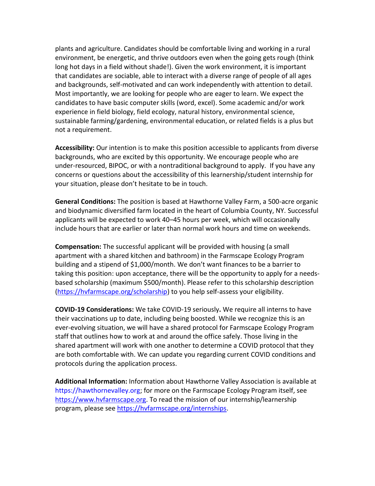plants and agriculture. Candidates should be comfortable living and working in a rural environment, be energetic, and thrive outdoors even when the going gets rough (think long hot days in a field without shade!). Given the work environment, it is important that candidates are sociable, able to interact with a diverse range of people of all ages and backgrounds, self-motivated and can work independently with attention to detail. Most importantly, we are looking for people who are eager to learn. We expect the candidates to have basic computer skills (word, excel). Some academic and/or work experience in field biology, field ecology, natural history, environmental science, sustainable farming/gardening, environmental education, or related fields is a plus but not a requirement.

**Accessibility:** Our intention is to make this position accessible to applicants from diverse backgrounds, who are excited by this opportunity. We encourage people who are under-resourced, BIPOC, or with a nontraditional background to apply. If you have any concerns or questions about the accessibility of this learnership/student internship for your situation, please don't hesitate to be in touch.

**General Conditions:** The position is based at Hawthorne Valley Farm, a 500-acre organic and biodynamic diversified farm located in the heart of Columbia County, NY. Successful applicants will be expected to work 40–45 hours per week, which will occasionally include hours that are earlier or later than normal work hours and time on weekends.

**Compensation:** The successful applicant will be provided with housing (a small apartment with a shared kitchen and bathroom) in the Farmscape Ecology Program building and a stipend of \$1,000/month. We don't want finances to be a barrier to taking this position: upon acceptance, there will be the opportunity to apply for a needsbased scholarship (maximum \$500/month). Please refer to this scholarship description [\(https://hvfarmscape.org/scholarship\)](https://hvfarmscape.org/scholarship) to you help self-assess your eligibility.

**COVID-19 Considerations:** We take COVID-19 seriously**.** We require all interns to have their vaccinations up to date, including being boosted. While we recognize this is an ever-evolving situation, we will have a shared protocol for Farmscape Ecology Program staff that outlines how to work at and around the office safely. Those living in the shared apartment will work with one another to determine a COVID protocol that they are both comfortable with. We can update you regarding current COVID conditions and protocols during the application process.

**Additional Information:** Information about Hawthorne Valley Association is available at https://hawthornevalley.org; for more on the Farmscape Ecology Program itself, see [https://www.hvfarmscape.org.](https://www.hvfarmscape.org/) To read the mission of our internship/learnership program, please see [https://hvfarmscape.org/internships.](https://hvfarmscape.org/internships)